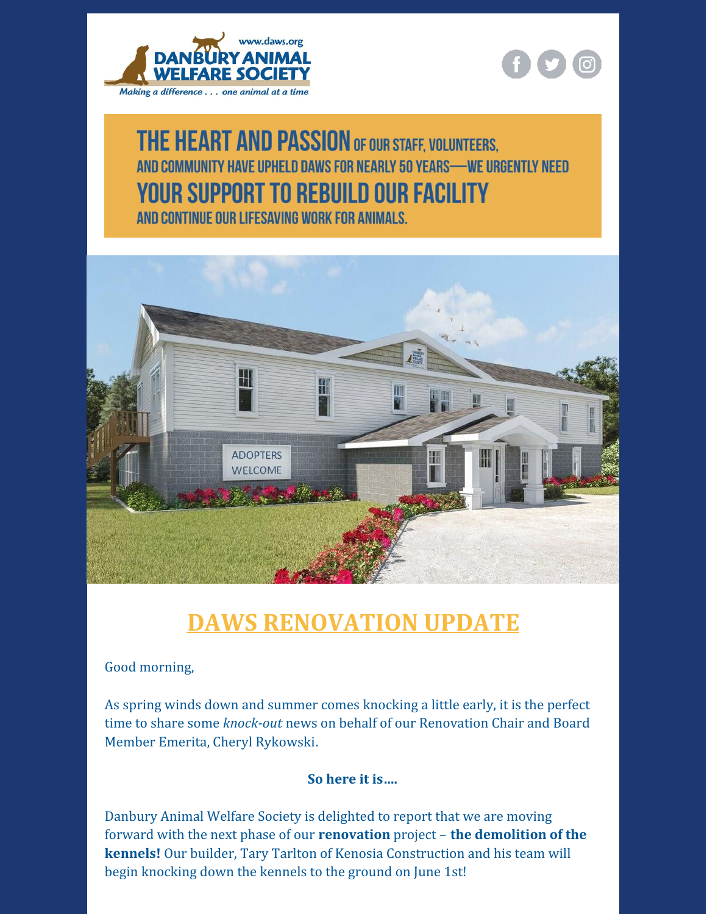



## **THE HEART AND PASSION OF OUR STAFF, VOLUNTEERS,** AND COMMUNITY HAVE UPHELD DAWS FOR NEARLY 50 YEARS-WE URGENTLY NEED **YOUR SUPPORT TO REBUILD OUR FACILITY**

AND CONTINUE OUR LIFESAVING WORK FOR ANIMALS.



## **DAWS [RENOVATION](https://renovation.daws.org/) UPDATE**

## Good morning,

As spring winds down and summer comes knocking a little early, it is the perfect time to share some *knock-out* news on behalf of our Renovation Chair and Board Member Emerita, Cheryl [Rykowski](mailto:Cheryl.Rykowski@daws.org).

## **So here it is….**

Danbury Animal Welfare Society is delighted to report that we are moving forward with the next phase of our **[renovation](https://renovation.daws.org/)** project – **the demolition of the kennels!** Our builder, Tary Tarlton of Kenosia Construction and his team will begin knocking down the kennels to the ground on June 1st!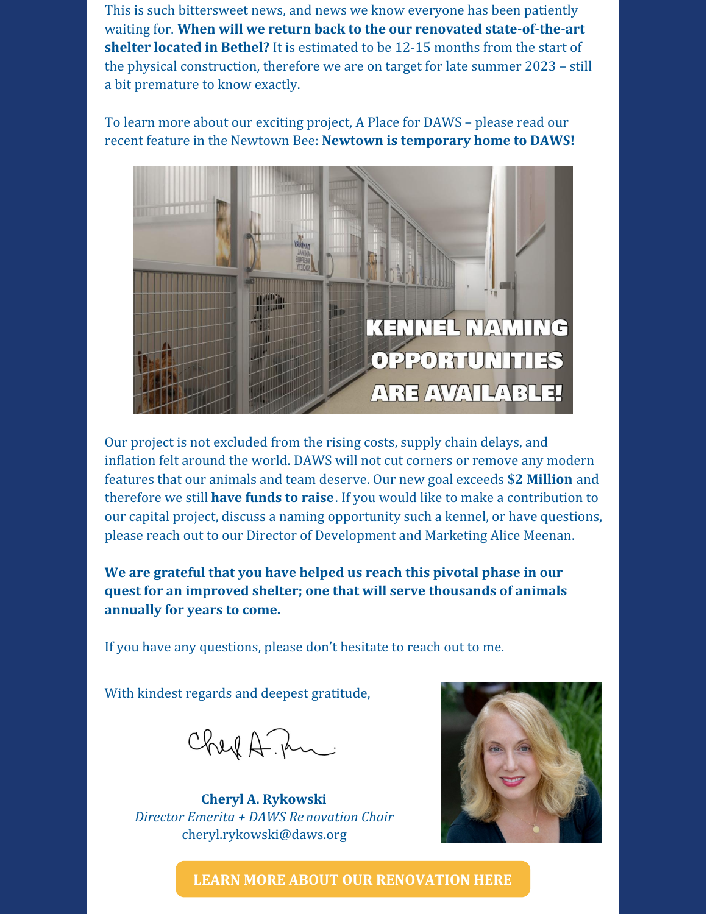This is such bittersweet news, and news we know everyone has been patiently waiting for. **When will we return back to the our renovated state-of-the-art shelter located in Bethel?** It is estimated to be 12-15 months from the start of the physical construction, therefore we are on target for late summer 2023 – still a bit premature to know exactly.

To learn more about our exciting project, A Place for DAWS – please read our recent feature in the Newtown Bee: **Newtown is [temporary](https://www.newtownbee.com/05102022/daws-shelter-undergoes-renovations-temporarily-operating-in-newtown/) home to DAWS!**



Our project is not excluded from the rising costs, supply chain delays, and inflation felt around the world. DAWS will not cut corners or remove any modern features that our animals and team deserve. Our new goal exceeds **\$2 Million** and therefore we still **have [funds](https://interland3.donorperfect.net/weblink/weblink.aspx?name=E342660&id=55) to raise**. If you would like to make a contribution to our capital project, discuss a naming opportunity such a kennel, or have questions, please reach out to our Director of Development and Marketing Alice [Meenan](mailto:alice.meenan@daws.org).

**We are grateful that you have helped us reach this pivotal phase in our quest for an improved shelter; one that will serve thousands of animals annually for years to come.**

If you have any questions, please don't hesitate to reach out to me.

With kindest regards and deepest gratitude,

Chef A. An

**Cheryl A. Rykowski** *Director Emerita + DAWS Re novation Chair* [cheryl.rykowski@daws.org](mailto:cheryl.rykowski@daws.org)



**LEARN MORE ABOUT OUR [RENOVATION](https://renovation.daws.org/) HERE**